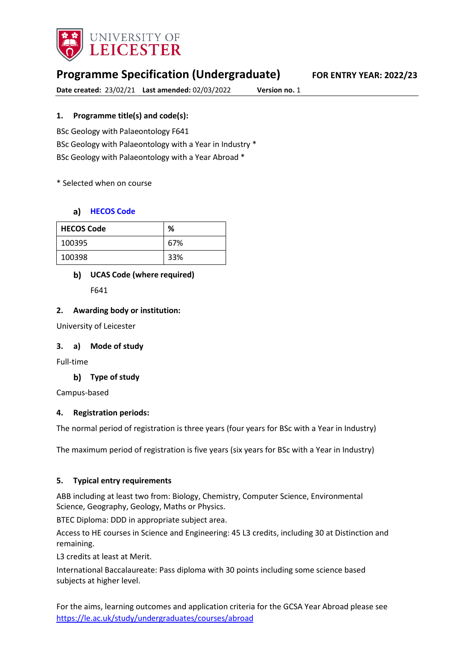

# **Programme Specification (Undergraduate) FOR ENTRY YEAR: 2022/23**

**Date created:** 23/02/21 **Last amended:** 02/03/2022 **Version no.** 1

### **1. Programme title(s) and code(s):**

BSc Geology with Palaeontology F641 BSc Geology with Palaeontology with a Year in Industry \* BSc Geology with Palaeontology with a Year Abroad \*

\* Selected when on course

### **[HECOS Code](https://www.hesa.ac.uk/innovation/hecos)**

| <b>HECOS Code</b> | %   |
|-------------------|-----|
| 100395            | 67% |
| 100398            | 33% |

## **UCAS Code (where required)**

F641

### **2. Awarding body or institution:**

University of Leicester

#### **3. a) Mode of study**

Full-time

**Type of study**

Campus-based

### **4. Registration periods:**

The normal period of registration is three years (four years for BSc with a Year in Industry)

The maximum period of registration is five years (six years for BSc with a Year in Industry)

### **5. Typical entry requirements**

ABB including at least two from: Biology, Chemistry, Computer Science, Environmental Science, Geography, Geology, Maths or Physics.

BTEC Diploma: DDD in appropriate subject area.

Access to HE courses in Science and Engineering: 45 L3 credits, including 30 at Distinction and remaining.

L3 credits at least at Merit.

International Baccalaureate: Pass diploma with 30 points including some science based subjects at higher level.

For the aims, learning outcomes and application criteria for the GCSA Year Abroad please see <https://le.ac.uk/study/undergraduates/courses/abroad>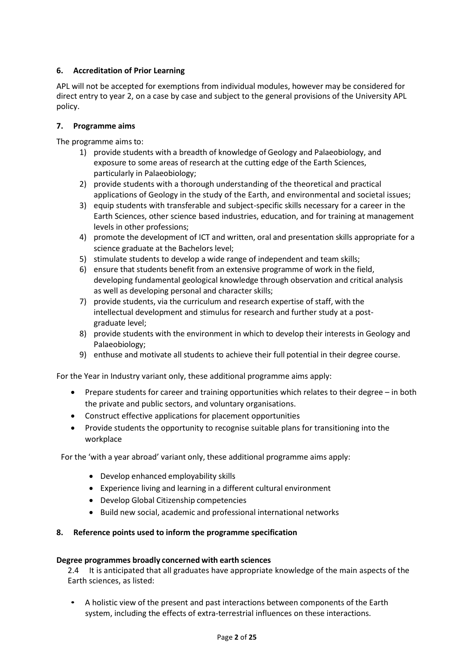### **6. Accreditation of Prior Learning**

APL will not be accepted for exemptions from individual modules, however may be considered for direct entry to year 2, on a case by case and subject to the general provisions of the University APL policy.

### **7. Programme aims**

The programme aims to:

- 1) provide students with a breadth of knowledge of Geology and Palaeobiology, and exposure to some areas of research at the cutting edge of the Earth Sciences, particularly in Palaeobiology;
- 2) provide students with a thorough understanding of the theoretical and practical applications of Geology in the study of the Earth, and environmental and societal issues;
- 3) equip students with transferable and subject-specific skills necessary for a career in the Earth Sciences, other science based industries, education, and for training at management levels in other professions;
- 4) promote the development of ICT and written, oral and presentation skills appropriate for a science graduate at the Bachelors level;
- 5) stimulate students to develop a wide range of independent and team skills;
- 6) ensure that students benefit from an extensive programme of work in the field, developing fundamental geological knowledge through observation and critical analysis as well as developing personal and character skills;
- 7) provide students, via the curriculum and research expertise of staff, with the intellectual development and stimulus for research and further study at a postgraduate level;
- 8) provide students with the environment in which to develop their interests in Geology and Palaeobiology;
- 9) enthuse and motivate all students to achieve their full potential in their degree course.

For the Year in Industry variant only, these additional programme aims apply:

- Prepare students for career and training opportunities which relates to their degree in both the private and public sectors, and voluntary organisations.
- Construct effective applications for placement opportunities
- Provide students the opportunity to recognise suitable plans for transitioning into the workplace

For the 'with a year abroad' variant only, these additional programme aims apply:

- Develop enhanced employability skills
- Experience living and learning in a different cultural environment
- Develop Global Citizenship competencies
- Build new social, academic and professional international networks

#### **8. Reference points used to inform the programme specification**

#### **Degree programmes broadly concerned with earth sciences**

2.4 It is anticipated that all graduates have appropriate knowledge of the main aspects of the Earth sciences, as listed:

• A holistic view of the present and past interactions between components of the Earth system, including the effects of extra-terrestrial influences on these interactions.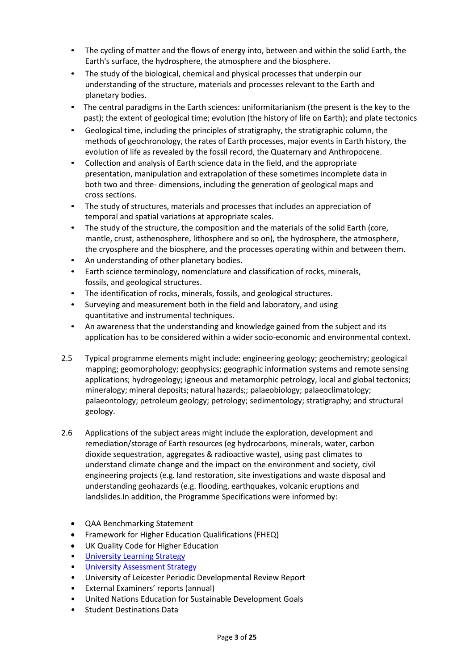- The cycling of matter and the flows of energy into, between and within the solid Earth, the Earth's surface, the hydrosphere, the atmosphere and the biosphere.
- The study of the biological, chemical and physical processes that underpin our understanding of the structure, materials and processes relevant to the Earth and planetary bodies.
- The central paradigms in the Earth sciences: uniformitarianism (the present is the key to the past); the extent of geological time; evolution (the history of life on Earth); and plate tectonics
- Geological time, including the principles of stratigraphy, the stratigraphic column, the methods of geochronology, the rates of Earth processes, major events in Earth history, the evolution of life as revealed by the fossil record, the Quaternary and Anthropocene.
- Collection and analysis of Earth science data in the field, and the appropriate presentation, manipulation and extrapolation of these sometimes incomplete data in both two and three- dimensions, including the generation of geological maps and cross sections.
- The study of structures, materials and processes that includes an appreciation of temporal and spatial variations at appropriate scales.
- The study of the structure, the composition and the materials of the solid Earth (core, mantle, crust, asthenosphere, lithosphere and so on), the hydrosphere, the atmosphere, the cryosphere and the biosphere, and the processes operating within and between them.
- An understanding of other planetary bodies.
- Earth science terminology, nomenclature and classification of rocks, minerals, fossils, and geological structures.
- The identification of rocks, minerals, fossils, and geological structures.
- Surveying and measurement both in the field and laboratory, and using quantitative and instrumental techniques.
- An awareness that the understanding and knowledge gained from the subject and its application has to be considered within a wider socio-economic and environmental context.
- 2.5 Typical programme elements might include: engineering geology; geochemistry; geological mapping; geomorphology; geophysics; geographic information systems and remote sensing applications; hydrogeology; igneous and metamorphic petrology, local and global tectonics; mineralogy; mineral deposits; natural hazards;; palaeobiology; palaeoclimatology; palaeontology; petroleum geology; petrology; sedimentology; stratigraphy; and structural geology.
- 2.6 Applications of the subject areas might include the exploration, development and remediation/storage of Earth resources (eg hydrocarbons, minerals, water, carbon dioxide sequestration, aggregates & radioactive waste), using past climates to understand climate change and the impact on the environment and society, civil engineering projects (e.g. land restoration, site investigations and waste disposal and understanding geohazards (e.g. flooding, earthquakes, volcanic eruptions and landslides.In addition, the Programme Specifications were informed by:
	- QAA Benchmarking Statement
	- Framework for Higher Education Qualifications (FHEQ)
	- UK Quality Code for Higher Education
	- University Learnin[g Strategy](https://www2.le.ac.uk/offices/sas2/quality/learnteach)
	- [University Assessment Strategy](https://www2.le.ac.uk/offices/sas2/quality/learnteach)
	- University of Leicester Periodic Developmental Review Report
	- External Examiners' reports (annual)
	- United Nations Education for Sustainable Development Goals
	- Student Destinations Data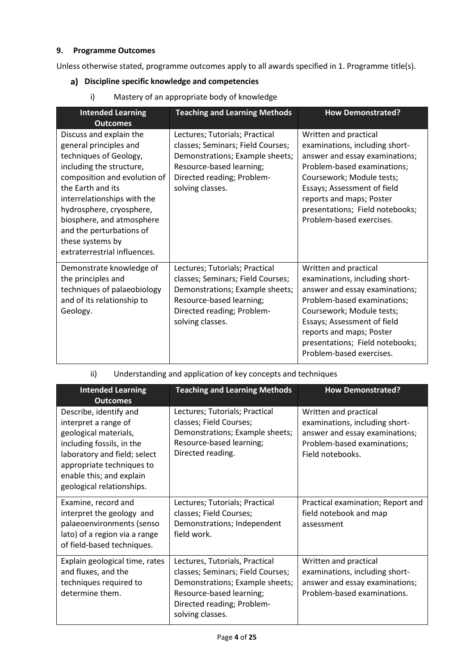### **9. Programme Outcomes**

Unless otherwise stated, programme outcomes apply to all awards specified in 1. Programme title(s).

- **Discipline specific knowledge and competencies**
- **Intended Learning Outcomes Teaching and Learning Methods How Demonstrated?** Discuss and explain the general principles and techniques of Geology, including the structure, composition and evolution of the Earth and its interrelationships with the hydrosphere, cryosphere, biosphere, and atmosphere and the perturbations of these systems by extraterrestrial influences. Lectures; Tutorials; Practical classes; Seminars; Field Courses; Demonstrations; Example sheets; Resource-based learning; Directed reading; Problemsolving classes. Written and practical examinations, including shortanswer and essay examinations; Problem-based examinations; Coursework; Module tests; Essays; Assessment of field reports and maps; Poster presentations; Field notebooks; Problem-based exercises. Demonstrate knowledge of the principles and techniques of palaeobiology and of its relationship to Geology. Lectures; Tutorials; Practical classes; Seminars; Field Courses; Demonstrations; Example sheets; Resource-based learning; Directed reading; Problemsolving classes. Written and practical examinations, including shortanswer and essay examinations; Problem-based examinations; Coursework; Module tests; Essays; Assessment of field reports and maps; Poster presentations; Field notebooks; Problem-based exercises.
- i) Mastery of an appropriate body of knowledge

ii) Understanding and application of key concepts and techniques

| <b>Intended Learning</b>                                                                                                                                                                                                                      | <b>Teaching and Learning Methods</b>                                                                                                                                                 | <b>How Demonstrated?</b>                                                                                                                     |
|-----------------------------------------------------------------------------------------------------------------------------------------------------------------------------------------------------------------------------------------------|--------------------------------------------------------------------------------------------------------------------------------------------------------------------------------------|----------------------------------------------------------------------------------------------------------------------------------------------|
| <b>Outcomes</b><br>Describe, identify and<br>interpret a range of<br>geological materials,<br>including fossils, in the<br>laboratory and field; select<br>appropriate techniques to<br>enable this; and explain<br>geological relationships. | Lectures; Tutorials; Practical<br>classes; Field Courses;<br>Demonstrations; Example sheets;<br>Resource-based learning;<br>Directed reading.                                        | Written and practical<br>examinations, including short-<br>answer and essay examinations;<br>Problem-based examinations;<br>Field notebooks. |
| Examine, record and<br>interpret the geology and<br>palaeoenvironments (senso<br>lato) of a region via a range<br>of field-based techniques.                                                                                                  | Lectures; Tutorials; Practical<br>classes; Field Courses;<br>Demonstrations; Independent<br>field work.                                                                              | Practical examination; Report and<br>field notebook and map<br>assessment                                                                    |
| Explain geological time, rates<br>and fluxes, and the<br>techniques required to<br>determine them.                                                                                                                                            | Lectures, Tutorials, Practical<br>classes; Seminars; Field Courses;<br>Demonstrations; Example sheets;<br>Resource-based learning;<br>Directed reading; Problem-<br>solving classes. | Written and practical<br>examinations, including short-<br>answer and essay examinations;<br>Problem-based examinations.                     |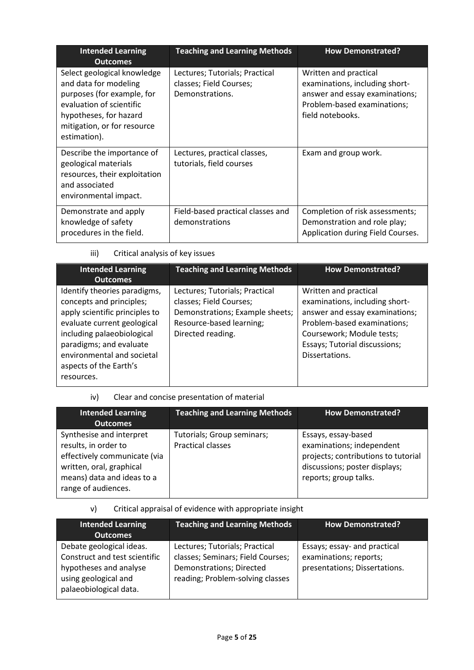| <b>Intended Learning</b><br><b>Outcomes</b>                                                                                                                                             | <b>Teaching and Learning Methods</b>                                         | <b>How Demonstrated?</b>                                                                                                                     |
|-----------------------------------------------------------------------------------------------------------------------------------------------------------------------------------------|------------------------------------------------------------------------------|----------------------------------------------------------------------------------------------------------------------------------------------|
| Select geological knowledge<br>and data for modeling<br>purposes (for example, for<br>evaluation of scientific<br>hypotheses, for hazard<br>mitigation, or for resource<br>estimation). | Lectures; Tutorials; Practical<br>classes; Field Courses;<br>Demonstrations. | Written and practical<br>examinations, including short-<br>answer and essay examinations;<br>Problem-based examinations;<br>field notebooks. |
| Describe the importance of<br>geological materials<br>resources, their exploitation<br>and associated<br>environmental impact.                                                          | Lectures, practical classes,<br>tutorials, field courses                     | Exam and group work.                                                                                                                         |
| Demonstrate and apply<br>knowledge of safety<br>procedures in the field.                                                                                                                | Field-based practical classes and<br>demonstrations                          | Completion of risk assessments;<br>Demonstration and role play;<br>Application during Field Courses.                                         |

iii) Critical analysis of key issues

| <b>Intended Learning</b><br><b>Outcomes</b>                                                                                                                                                                                                              | <b>Teaching and Learning Methods</b>                                                                                                          | <b>How Demonstrated?</b>                                                                                                                                                                                 |
|----------------------------------------------------------------------------------------------------------------------------------------------------------------------------------------------------------------------------------------------------------|-----------------------------------------------------------------------------------------------------------------------------------------------|----------------------------------------------------------------------------------------------------------------------------------------------------------------------------------------------------------|
| Identify theories paradigms,<br>concepts and principles;<br>apply scientific principles to<br>evaluate current geological<br>including palaeobiological<br>paradigms; and evaluate<br>environmental and societal<br>aspects of the Earth's<br>resources. | Lectures; Tutorials; Practical<br>classes; Field Courses;<br>Demonstrations; Example sheets;<br>Resource-based learning;<br>Directed reading. | Written and practical<br>examinations, including short-<br>answer and essay examinations;<br>Problem-based examinations;<br>Coursework; Module tests;<br>Essays; Tutorial discussions;<br>Dissertations. |

iv) Clear and concise presentation of material

| <b>Intended Learning</b><br><b>Outcomes</b>                                                                                                                       | <b>Teaching and Learning Methods</b>                   | <b>How Demonstrated?</b>                                                                                                                          |
|-------------------------------------------------------------------------------------------------------------------------------------------------------------------|--------------------------------------------------------|---------------------------------------------------------------------------------------------------------------------------------------------------|
| Synthesise and interpret<br>results, in order to<br>effectively communicate (via<br>written, oral, graphical<br>means) data and ideas to a<br>range of audiences. | Tutorials; Group seminars;<br><b>Practical classes</b> | Essays, essay-based<br>examinations; independent<br>projects; contributions to tutorial<br>discussions; poster displays;<br>reports; group talks. |

## v) Critical appraisal of evidence with appropriate insight

| <b>Intended Learning</b><br><b>Outcomes</b>                                                                                           | <b>Teaching and Learning Methods</b>                                                                                                | <b>How Demonstrated?</b>                                                                |
|---------------------------------------------------------------------------------------------------------------------------------------|-------------------------------------------------------------------------------------------------------------------------------------|-----------------------------------------------------------------------------------------|
| Debate geological ideas.<br>Construct and test scientific<br>hypotheses and analyse<br>using geological and<br>palaeobiological data. | Lectures; Tutorials; Practical<br>classes; Seminars; Field Courses;<br>Demonstrations; Directed<br>reading; Problem-solving classes | Essays; essay- and practical<br>examinations; reports;<br>presentations; Dissertations. |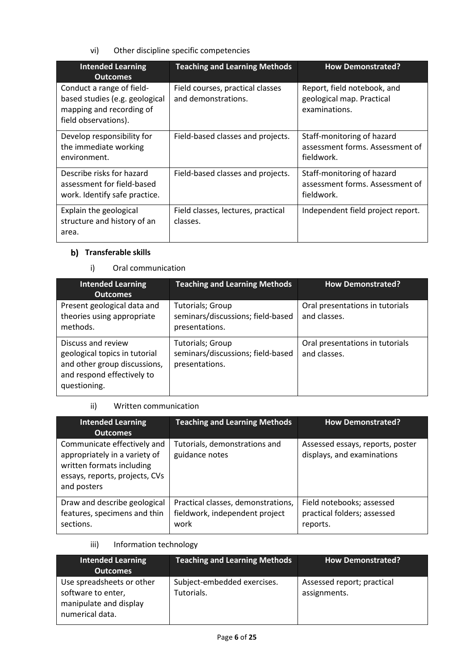vi) Other discipline specific competencies

| <b>Intended Learning</b><br><b>Outcomes</b>                                                                     | <b>Teaching and Learning Methods</b>                    | <b>How Demonstrated?</b>                                                    |
|-----------------------------------------------------------------------------------------------------------------|---------------------------------------------------------|-----------------------------------------------------------------------------|
| Conduct a range of field-<br>based studies (e.g. geological<br>mapping and recording of<br>field observations). | Field courses, practical classes<br>and demonstrations. | Report, field notebook, and<br>geological map. Practical<br>examinations.   |
| Develop responsibility for<br>the immediate working<br>environment.                                             | Field-based classes and projects.                       | Staff-monitoring of hazard<br>assessment forms. Assessment of<br>fieldwork. |
| Describe risks for hazard<br>assessment for field-based<br>work. Identify safe practice.                        | Field-based classes and projects.                       | Staff-monitoring of hazard<br>assessment forms. Assessment of<br>fieldwork. |
| Explain the geological<br>structure and history of an<br>area.                                                  | Field classes, lectures, practical<br>classes.          | Independent field project report.                                           |

## **b)** Transferable skills

### i) Oral communication

| <b>Intended Learning</b><br><b>Outcomes</b>                                                                                       | <b>Teaching and Learning Methods</b>                                           | <b>How Demonstrated?</b>                        |
|-----------------------------------------------------------------------------------------------------------------------------------|--------------------------------------------------------------------------------|-------------------------------------------------|
| Present geological data and<br>theories using appropriate<br>methods.                                                             | <b>Tutorials; Group</b><br>seminars/discussions; field-based<br>presentations. | Oral presentations in tutorials<br>and classes. |
| Discuss and review<br>geological topics in tutorial<br>and other group discussions,<br>and respond effectively to<br>questioning. | <b>Tutorials; Group</b><br>seminars/discussions; field-based<br>presentations. | Oral presentations in tutorials<br>and classes. |

### ii) Written communication

| <b>Intended Learning</b><br><b>Outcomes</b>                                                                                                | <b>Teaching and Learning Methods</b>                                         | <b>How Demonstrated?</b>                                             |
|--------------------------------------------------------------------------------------------------------------------------------------------|------------------------------------------------------------------------------|----------------------------------------------------------------------|
| Communicate effectively and<br>appropriately in a variety of<br>written formats including<br>essays, reports, projects, CVs<br>and posters | Tutorials, demonstrations and<br>guidance notes                              | Assessed essays, reports, poster<br>displays, and examinations       |
| Draw and describe geological<br>features, specimens and thin<br>sections.                                                                  | Practical classes, demonstrations,<br>fieldwork, independent project<br>work | Field notebooks; assessed<br>practical folders; assessed<br>reports. |

### iii) Information technology

| Intended Learning<br><b>Outcomes</b>                                                         | <b>Teaching and Learning Methods</b>      | <b>How Demonstrated?</b>                   |
|----------------------------------------------------------------------------------------------|-------------------------------------------|--------------------------------------------|
| Use spreadsheets or other<br>software to enter,<br>manipulate and display<br>numerical data. | Subject-embedded exercises.<br>Tutorials. | Assessed report; practical<br>assignments. |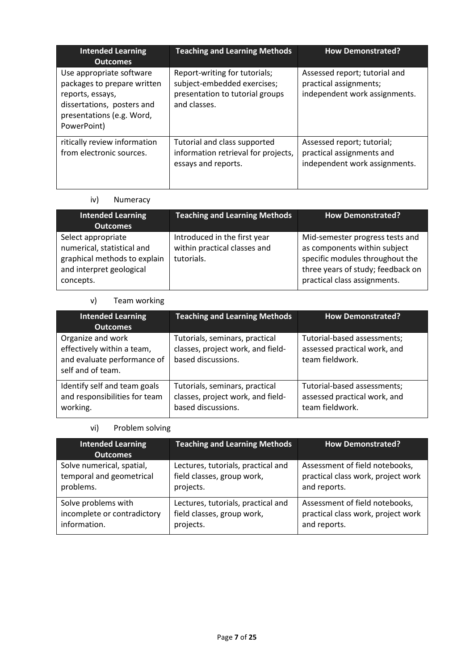| <b>Intended Learning</b><br><b>Outcomes</b>                                                                                                           | <b>Teaching and Learning Methods</b>                                                                            | <b>How Demonstrated?</b>                                                                 |
|-------------------------------------------------------------------------------------------------------------------------------------------------------|-----------------------------------------------------------------------------------------------------------------|------------------------------------------------------------------------------------------|
| Use appropriate software<br>packages to prepare written<br>reports, essays,<br>dissertations, posters and<br>presentations (e.g. Word,<br>PowerPoint) | Report-writing for tutorials;<br>subject-embedded exercises;<br>presentation to tutorial groups<br>and classes. | Assessed report; tutorial and<br>practical assignments;<br>independent work assignments. |
| ritically review information<br>from electronic sources.                                                                                              | Tutorial and class supported<br>information retrieval for projects,<br>essays and reports.                      | Assessed report; tutorial;<br>practical assignments and<br>independent work assignments. |

## iv) Numeracy

| <b>Intended Learning</b><br><b>Outcomes</b>                                                                               | <b>Teaching and Learning Methods</b>                                       | <b>How Demonstrated?</b>                                                                                                                                                |
|---------------------------------------------------------------------------------------------------------------------------|----------------------------------------------------------------------------|-------------------------------------------------------------------------------------------------------------------------------------------------------------------------|
| Select appropriate<br>numerical, statistical and<br>graphical methods to explain<br>and interpret geological<br>concepts. | Introduced in the first year<br>within practical classes and<br>tutorials. | Mid-semester progress tests and<br>as components within subject<br>specific modules throughout the<br>three years of study; feedback on<br>practical class assignments. |

## v) Team working

| <b>Intended Learning</b><br><b>Outcomes</b>                                                         | <b>Teaching and Learning Methods</b>                                                      | <b>How Demonstrated?</b>                                                       |
|-----------------------------------------------------------------------------------------------------|-------------------------------------------------------------------------------------------|--------------------------------------------------------------------------------|
| Organize and work<br>effectively within a team,<br>and evaluate performance of<br>self and of team. | Tutorials, seminars, practical<br>classes, project work, and field-<br>based discussions. | Tutorial-based assessments;<br>assessed practical work, and<br>team fieldwork. |
| Identify self and team goals<br>and responsibilities for team<br>working.                           | Tutorials, seminars, practical<br>classes, project work, and field-<br>based discussions. | Tutorial-based assessments;<br>assessed practical work, and<br>team fieldwork. |

## vi) Problem solving

| <b>Intended Learning</b><br><b>Outcomes</b> | <b>Teaching and Learning Methods</b> | <b>How Demonstrated?</b>           |
|---------------------------------------------|--------------------------------------|------------------------------------|
| Solve numerical, spatial,                   | Lectures, tutorials, practical and   | Assessment of field notebooks,     |
| temporal and geometrical                    | field classes, group work,           | practical class work, project work |
| problems.                                   | projects.                            | and reports.                       |
| Solve problems with                         | Lectures, tutorials, practical and   | Assessment of field notebooks,     |
| incomplete or contradictory                 | field classes, group work,           | practical class work, project work |
| information.                                | projects.                            | and reports.                       |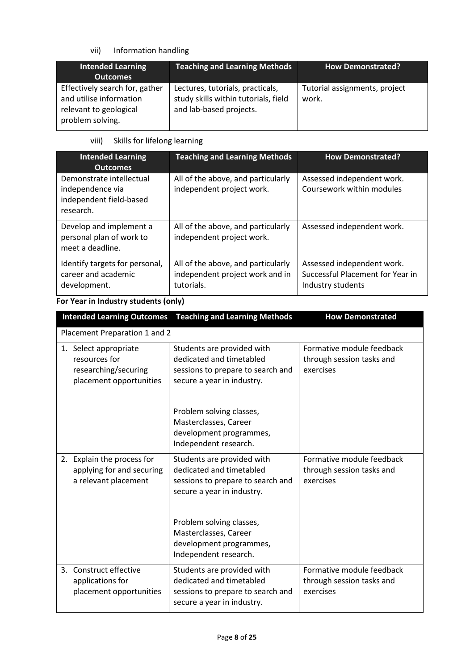## vii) Information handling

| <b>Intended Learning</b><br><b>Outcomes</b>                                                             | <b>Teaching and Learning Methods</b>                                                                | <b>How Demonstrated?</b>               |
|---------------------------------------------------------------------------------------------------------|-----------------------------------------------------------------------------------------------------|----------------------------------------|
| Effectively search for, gather<br>and utilise information<br>relevant to geological<br>problem solving. | Lectures, tutorials, practicals,<br>study skills within tutorials, field<br>and lab-based projects. | Tutorial assignments, project<br>work. |

### viii) Skills for lifelong learning

| <b>Intended Learning</b><br><b>Outcomes</b>                                          | <b>Teaching and Learning Methods</b>                                                | <b>How Demonstrated?</b>                                                            |
|--------------------------------------------------------------------------------------|-------------------------------------------------------------------------------------|-------------------------------------------------------------------------------------|
| Demonstrate intellectual<br>independence via<br>independent field-based<br>research. | All of the above, and particularly<br>independent project work.                     | Assessed independent work.<br>Coursework within modules                             |
| Develop and implement a<br>personal plan of work to<br>meet a deadline.              | All of the above, and particularly<br>independent project work.                     | Assessed independent work.                                                          |
| Identify targets for personal,<br>career and academic<br>development.                | All of the above, and particularly<br>independent project work and in<br>tutorials. | Assessed independent work.<br>Successful Placement for Year in<br>Industry students |

## **For Year in Industry students (only)**

| <b>Intended Learning Outcomes</b>                                                         | <b>Teaching and Learning Methods</b>                                                                                      | <b>How Demonstrated</b>                                             |  |  |  |
|-------------------------------------------------------------------------------------------|---------------------------------------------------------------------------------------------------------------------------|---------------------------------------------------------------------|--|--|--|
|                                                                                           | Placement Preparation 1 and 2                                                                                             |                                                                     |  |  |  |
| 1. Select appropriate<br>resources for<br>researching/securing<br>placement opportunities | Students are provided with<br>dedicated and timetabled<br>sessions to prepare to search and<br>secure a year in industry. | Formative module feedback<br>through session tasks and<br>exercises |  |  |  |
|                                                                                           | Problem solving classes,<br>Masterclasses, Career<br>development programmes,<br>Independent research.                     |                                                                     |  |  |  |
| 2. Explain the process for<br>applying for and securing<br>a relevant placement           | Students are provided with<br>dedicated and timetabled<br>sessions to prepare to search and<br>secure a year in industry. | Formative module feedback<br>through session tasks and<br>exercises |  |  |  |
|                                                                                           | Problem solving classes,<br>Masterclasses, Career<br>development programmes,<br>Independent research.                     |                                                                     |  |  |  |
| 3. Construct effective<br>applications for<br>placement opportunities                     | Students are provided with<br>dedicated and timetabled<br>sessions to prepare to search and<br>secure a year in industry. | Formative module feedback<br>through session tasks and<br>exercises |  |  |  |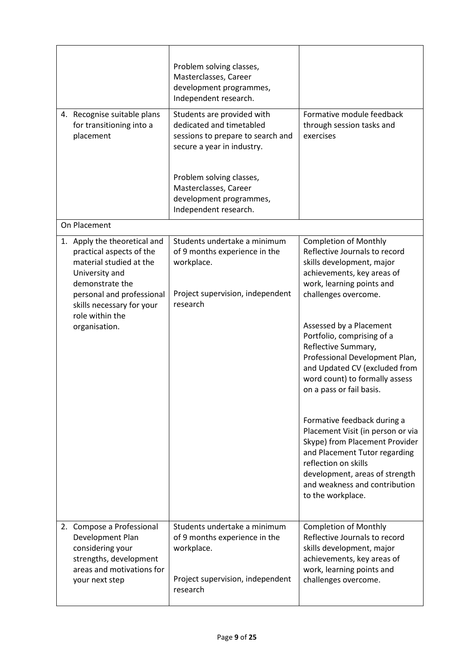| 4. Recognise suitable plans<br>for transitioning into a<br>placement                                                                                                                                                   | Problem solving classes,<br>Masterclasses, Career<br>development programmes,<br>Independent research.<br>Students are provided with<br>dedicated and timetabled<br>sessions to prepare to search and<br>secure a year in industry.<br>Problem solving classes, | Formative module feedback<br>through session tasks and<br>exercises                                                                                                                                                                                                                                                                                                                                                                                                                                                                   |
|------------------------------------------------------------------------------------------------------------------------------------------------------------------------------------------------------------------------|----------------------------------------------------------------------------------------------------------------------------------------------------------------------------------------------------------------------------------------------------------------|---------------------------------------------------------------------------------------------------------------------------------------------------------------------------------------------------------------------------------------------------------------------------------------------------------------------------------------------------------------------------------------------------------------------------------------------------------------------------------------------------------------------------------------|
|                                                                                                                                                                                                                        | Masterclasses, Career<br>development programmes,<br>Independent research.                                                                                                                                                                                      |                                                                                                                                                                                                                                                                                                                                                                                                                                                                                                                                       |
| On Placement                                                                                                                                                                                                           |                                                                                                                                                                                                                                                                |                                                                                                                                                                                                                                                                                                                                                                                                                                                                                                                                       |
| 1. Apply the theoretical and<br>practical aspects of the<br>material studied at the<br>University and<br>demonstrate the<br>personal and professional<br>skills necessary for your<br>role within the<br>organisation. | Students undertake a minimum<br>of 9 months experience in the<br>workplace.<br>Project supervision, independent<br>research                                                                                                                                    | <b>Completion of Monthly</b><br>Reflective Journals to record<br>skills development, major<br>achievements, key areas of<br>work, learning points and<br>challenges overcome.<br>Assessed by a Placement<br>Portfolio, comprising of a<br>Reflective Summary,<br>Professional Development Plan,<br>and Updated CV (excluded from<br>word count) to formally assess<br>on a pass or fail basis.<br>Formative feedback during a<br>Placement Visit (in person or via<br>Skype) from Placement Provider<br>and Placement Tutor regarding |
|                                                                                                                                                                                                                        |                                                                                                                                                                                                                                                                | reflection on skills<br>development, areas of strength<br>and weakness and contribution<br>to the workplace.                                                                                                                                                                                                                                                                                                                                                                                                                          |
| 2. Compose a Professional<br>Development Plan<br>considering your<br>strengths, development<br>areas and motivations for<br>your next step                                                                             | Students undertake a minimum<br>of 9 months experience in the<br>workplace.<br>Project supervision, independent<br>research                                                                                                                                    | <b>Completion of Monthly</b><br>Reflective Journals to record<br>skills development, major<br>achievements, key areas of<br>work, learning points and<br>challenges overcome.                                                                                                                                                                                                                                                                                                                                                         |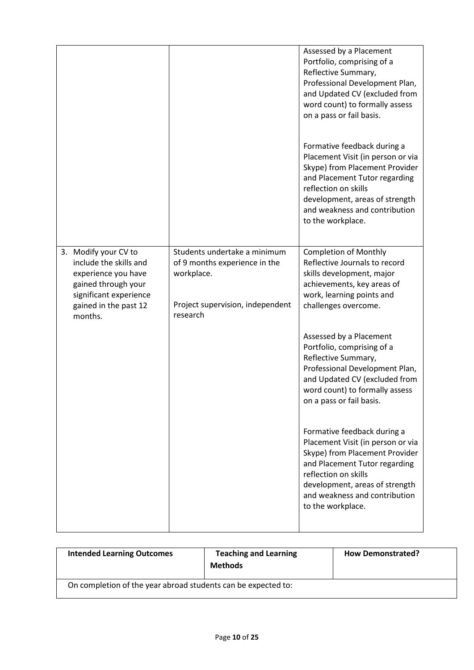|                                                                                                                                                            |                                                                                                                             | Assessed by a Placement<br>Portfolio, comprising of a<br>Reflective Summary,<br>Professional Development Plan,<br>and Updated CV (excluded from<br>word count) to formally assess<br>on a pass or fail basis.                                       |
|------------------------------------------------------------------------------------------------------------------------------------------------------------|-----------------------------------------------------------------------------------------------------------------------------|-----------------------------------------------------------------------------------------------------------------------------------------------------------------------------------------------------------------------------------------------------|
|                                                                                                                                                            |                                                                                                                             | Formative feedback during a<br>Placement Visit (in person or via<br>Skype) from Placement Provider<br>and Placement Tutor regarding<br>reflection on skills<br>development, areas of strength<br>and weakness and contribution<br>to the workplace. |
| 3. Modify your CV to<br>include the skills and<br>experience you have<br>gained through your<br>significant experience<br>gained in the past 12<br>months. | Students undertake a minimum<br>of 9 months experience in the<br>workplace.<br>Project supervision, independent<br>research | <b>Completion of Monthly</b><br>Reflective Journals to record<br>skills development, major<br>achievements, key areas of<br>work, learning points and<br>challenges overcome.                                                                       |
|                                                                                                                                                            |                                                                                                                             | Assessed by a Placement<br>Portfolio, comprising of a<br>Reflective Summary,<br>Professional Development Plan,<br>and Updated CV (excluded from<br>word count) to formally assess<br>on a pass or fail basis.                                       |
|                                                                                                                                                            |                                                                                                                             | Formative feedback during a<br>Placement Visit (in person or via<br>Skype) from Placement Provider<br>and Placement Tutor regarding<br>reflection on skills<br>development, areas of strength<br>and weakness and contribution<br>to the workplace. |

| <b>Intended Learning Outcomes</b>                             | <b>Teaching and Learning</b><br><b>Methods</b> | <b>How Demonstrated?</b> |
|---------------------------------------------------------------|------------------------------------------------|--------------------------|
| On completion of the year abroad students can be expected to: |                                                |                          |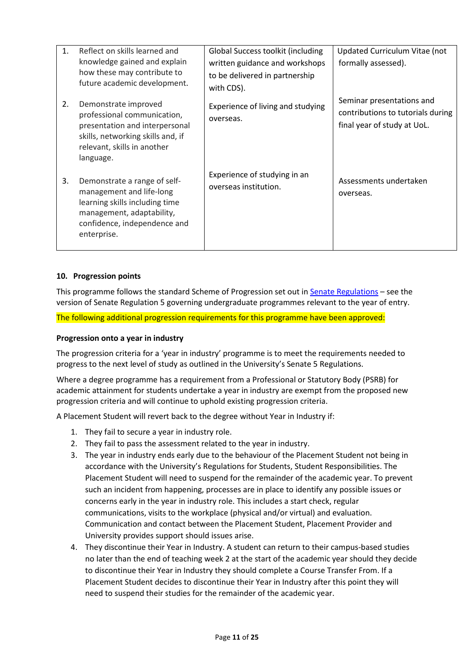| 1 <sup>1</sup> | Reflect on skills learned and<br>knowledge gained and explain<br>how these may contribute to<br>future academic development.                                           | Global Success toolkit (including<br>written guidance and workshops<br>to be delivered in partnership<br>with CDS). | Updated Curriculum Vitae (not<br>formally assessed).                                          |
|----------------|------------------------------------------------------------------------------------------------------------------------------------------------------------------------|---------------------------------------------------------------------------------------------------------------------|-----------------------------------------------------------------------------------------------|
| 2.             | Demonstrate improved<br>professional communication,<br>presentation and interpersonal<br>skills, networking skills and, if<br>relevant, skills in another<br>language. | Experience of living and studying<br>overseas.                                                                      | Seminar presentations and<br>contributions to tutorials during<br>final year of study at UoL. |
| 3.             | Demonstrate a range of self-<br>management and life-long<br>learning skills including time<br>management, adaptability,<br>confidence, independence and<br>enterprise. | Experience of studying in an<br>overseas institution.                                                               | Assessments undertaken<br>overseas.                                                           |

### **10. Progression points**

This programme follows the standard Scheme of Progression set out i[n Senate Regulations](http://www.le.ac.uk/senate-regulations) – see the version of Senate Regulation 5 governing undergraduate programmes relevant to the year of entry.

The following additional progression requirements for this programme have been approved:

#### **Progression onto a year in industry**

The progression criteria for a 'year in industry' programme is to meet the requirements needed to progress to the next level of study as outlined in the University's Senate 5 Regulations.

Where a degree programme has a requirement from a Professional or Statutory Body (PSRB) for academic attainment for students undertake a year in industry are exempt from the proposed new progression criteria and will continue to uphold existing progression criteria.

A Placement Student will revert back to the degree without Year in Industry if:

- 1. They fail to secure a year in industry role.
- 2. They fail to pass the assessment related to the year in industry.
- 3. The year in industry ends early due to the behaviour of the Placement Student not being in accordance with the University's Regulations for Students, Student Responsibilities. The Placement Student will need to suspend for the remainder of the academic year. To prevent such an incident from happening, processes are in place to identify any possible issues or concerns early in the year in industry role. This includes a start check, regular communications, visits to the workplace (physical and/or virtual) and evaluation. Communication and contact between the Placement Student, Placement Provider and University provides support should issues arise.
- 4. They discontinue their Year in Industry. A student can return to their campus-based studies no later than the end of teaching week 2 at the start of the academic year should they decide to discontinue their Year in Industry they should complete a Course Transfer From. If a Placement Student decides to discontinue their Year in Industry after this point they will need to suspend their studies for the remainder of the academic year.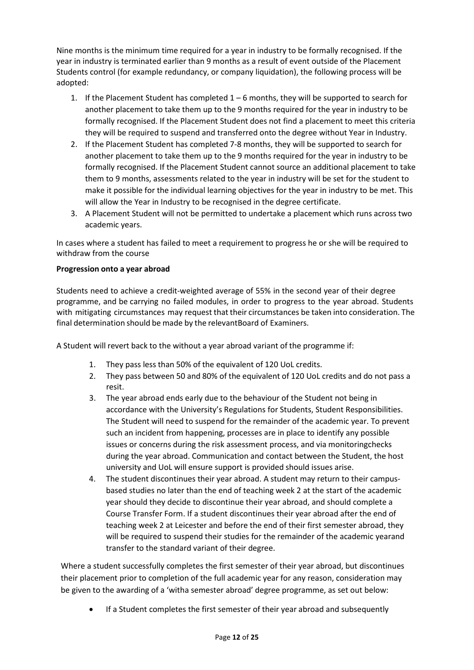Nine months is the minimum time required for a year in industry to be formally recognised. If the year in industry is terminated earlier than 9 months as a result of event outside of the Placement Students control (for example redundancy, or company liquidation), the following process will be adopted:

- 1. If the Placement Student has completed 1 6 months, they will be supported to search for another placement to take them up to the 9 months required for the year in industry to be formally recognised. If the Placement Student does not find a placement to meet this criteria they will be required to suspend and transferred onto the degree without Year in Industry.
- 2. If the Placement Student has completed 7-8 months, they will be supported to search for another placement to take them up to the 9 months required for the year in industry to be formally recognised. If the Placement Student cannot source an additional placement to take them to 9 months, assessments related to the year in industry will be set for the student to make it possible for the individual learning objectives for the year in industry to be met. This will allow the Year in Industry to be recognised in the degree certificate.
- 3. A Placement Student will not be permitted to undertake a placement which runs across two academic years.

In cases where a student has failed to meet a requirement to progress he or she will be required to withdraw from the course

### **Progression onto a year abroad**

Students need to achieve a credit-weighted average of 55% in the second year of their degree programme, and be carrying no failed modules, in order to progress to the year abroad. Students with mitigating circumstances may request that their circumstances be taken into consideration. The final determination should be made by the relevantBoard of Examiners.

A Student will revert back to the without a year abroad variant of the programme if:

- 1. They pass less than 50% of the equivalent of 120 UoL credits.
- 2. They pass between 50 and 80% of the equivalent of 120 UoL credits and do not pass a resit.
- 3. The year abroad ends early due to the behaviour of the Student not being in accordance with the University's Regulations for Students, Student Responsibilities. The Student will need to suspend for the remainder of the academic year. To prevent such an incident from happening, processes are in place to identify any possible issues or concerns during the risk assessment process, and via monitoringchecks during the year abroad. Communication and contact between the Student, the host university and UoL will ensure support is provided should issues arise.
- 4. The student discontinues their year abroad. A student may return to their campusbased studies no later than the end of teaching week 2 at the start of the academic year should they decide to discontinue their year abroad, and should complete a Course Transfer Form. If a student discontinues their year abroad after the end of teaching week 2 at Leicester and before the end of their first semester abroad, they will be required to suspend their studies for the remainder of the academic yearand transfer to the standard variant of their degree.

Where a student successfully completes the first semester of their year abroad, but discontinues their placement prior to completion of the full academic year for any reason, consideration may be given to the awarding of a 'witha semester abroad' degree programme, as set out below:

• If a Student completes the first semester of their year abroad and subsequently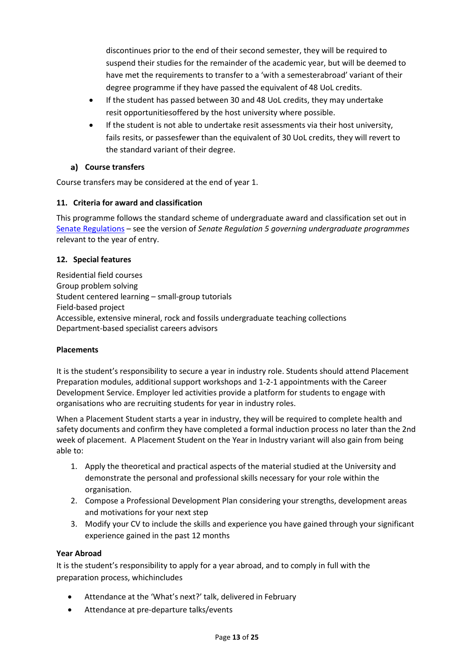discontinues prior to the end of their second semester, they will be required to suspend their studies for the remainder of the academic year, but will be deemed to have met the requirements to transfer to a 'with a semesterabroad' variant of their degree programme if they have passed the equivalent of 48 UoL credits.

- If the student has passed between 30 and 48 UoL credits, they may undertake resit opportunitiesoffered by the host university where possible.
- If the student is not able to undertake resit assessments via their host university, fails resits, or passesfewer than the equivalent of 30 UoL credits, they will revert to the standard variant of their degree.

### **Course transfers**

Course transfers may be considered at the end of year 1.

### **11. Criteria for award and classification**

This programme follows the standard scheme of undergraduate award and classification set out in [Senate Regulations](http://www.le.ac.uk/senate-regulations) – see the version of *Senate Regulation 5 governing undergraduate programmes* relevant to the year of entry.

### **12. Special features**

Residential field courses Group problem solving Student centered learning – small-group tutorials Field-based project Accessible, extensive mineral, rock and fossils undergraduate teaching collections Department-based specialist careers advisors

### **Placements**

It is the student's responsibility to secure a year in industry role. Students should attend Placement Preparation modules, additional support workshops and 1-2-1 appointments with the Career Development Service. Employer led activities provide a platform for students to engage with organisations who are recruiting students for year in industry roles.

When a Placement Student starts a year in industry, they will be required to complete health and safety documents and confirm they have completed a formal induction process no later than the 2nd week of placement. A Placement Student on the Year in Industry variant will also gain from being able to:

- 1. Apply the theoretical and practical aspects of the material studied at the University and demonstrate the personal and professional skills necessary for your role within the organisation.
- 2. Compose a Professional Development Plan considering your strengths, development areas and motivations for your next step
- 3. Modify your CV to include the skills and experience you have gained through your significant experience gained in the past 12 months

### **Year Abroad**

It is the student's responsibility to apply for a year abroad, and to comply in full with the preparation process, whichincludes

- Attendance at the 'What's next?' talk, delivered in February
- Attendance at pre-departure talks/events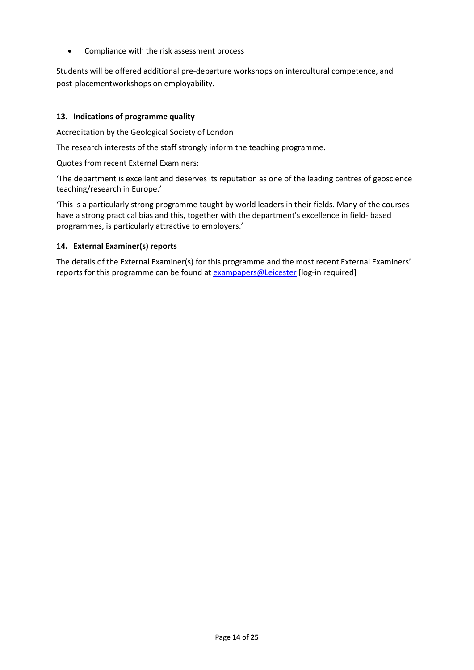• Compliance with the risk assessment process

Students will be offered additional pre-departure workshops on intercultural competence, and post-placementworkshops on employability.

### **13. Indications of programme quality**

Accreditation by the Geological Society of London

The research interests of the staff strongly inform the teaching programme.

Quotes from recent External Examiners:

'The department is excellent and deserves its reputation as one of the leading centres of geoscience teaching/research in Europe.'

'This is a particularly strong programme taught by world leaders in their fields. Many of the courses have a strong practical bias and this, together with the department's excellence in field- based programmes, is particularly attractive to employers.'

### **14. External Examiner(s) reports**

The details of the External Examiner(s) for this programme and the most recent External Examiners' reports for this programme can be found at **[exampapers@Leicester](https://exampapers.le.ac.uk/)** [log-in required]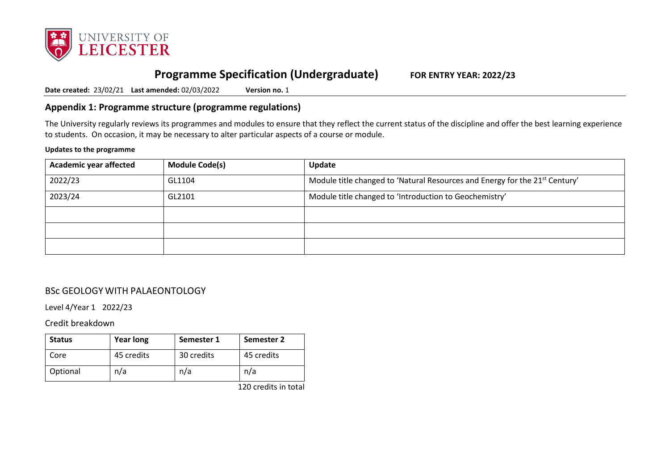

# **Programme Specification (Undergraduate) FOR ENTRY YEAR: 2022/23**

**Date created:** 23/02/21 **Last amended:** 02/03/2022 **Version no.** 1

## **Appendix 1: Programme structure (programme regulations)**

The University regularly reviews its programmes and modules to ensure that they reflect the current status of the discipline and offer the best learning experience to students. On occasion, it may be necessary to alter particular aspects of a course or module.

#### **Updates to the programme**

| <b>Academic year affected</b> | <b>Module Code(s)</b> | Update                                                                      |
|-------------------------------|-----------------------|-----------------------------------------------------------------------------|
| 2022/23                       | GL1104                | Module title changed to 'Natural Resources and Energy for the 21st Century' |
| 2023/24                       | GL2101                | Module title changed to 'Introduction to Geochemistry'                      |
|                               |                       |                                                                             |
|                               |                       |                                                                             |
|                               |                       |                                                                             |

## BSc GEOLOGY WITH PALAEONTOLOGY

Level 4/Year 1 2022/23

Credit breakdown

| <b>Status</b> | <b>Year long</b> | Semester 1 | Semester 2 |
|---------------|------------------|------------|------------|
| Core          | 45 credits       | 30 credits | 45 credits |
| Optional      | n/a              | n/a        | n/a        |

120 credits in total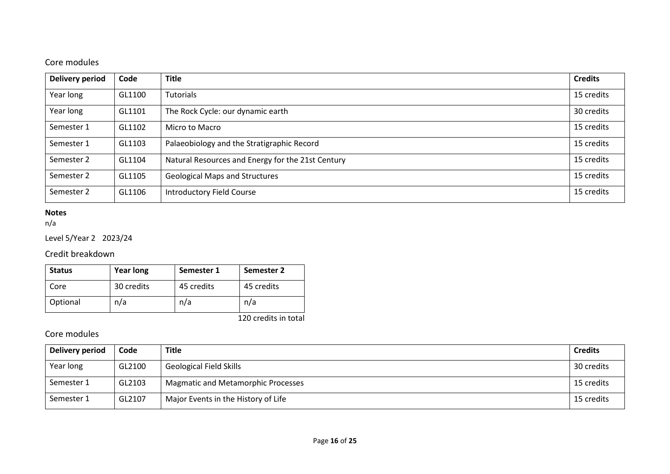## Core modules

| <b>Delivery period</b> | Code   | <b>Title</b>                                      | <b>Credits</b> |
|------------------------|--------|---------------------------------------------------|----------------|
| Year long              | GL1100 | Tutorials                                         | 15 credits     |
| Year long              | GL1101 | The Rock Cycle: our dynamic earth                 | 30 credits     |
| Semester 1             | GL1102 | Micro to Macro                                    | 15 credits     |
| Semester 1             | GL1103 | Palaeobiology and the Stratigraphic Record        | 15 credits     |
| Semester 2             | GL1104 | Natural Resources and Energy for the 21st Century | 15 credits     |
| Semester 2             | GL1105 | <b>Geological Maps and Structures</b>             | 15 credits     |
| Semester 2             | GL1106 | <b>Introductory Field Course</b>                  | 15 credits     |

### **Notes**

n/a

## Level 5/Year 2 2023/24

## Credit breakdown

| <b>Status</b> | <b>Year long</b> | Semester 1 | Semester 2 |
|---------------|------------------|------------|------------|
| Core          | 30 credits       | 45 credits | 45 credits |
| Optional      | n/a              | n/a        | n/a        |

120 credits in total

## Core modules

| Delivery period | Code   | <b>Title</b>                              | <b>Credits</b> |
|-----------------|--------|-------------------------------------------|----------------|
| Year long       | GL2100 | <b>Geological Field Skills</b>            | 30 credits     |
| Semester 1      | GL2103 | <b>Magmatic and Metamorphic Processes</b> | 15 credits     |
| Semester 1      | GL2107 | Major Events in the History of Life       | 15 credits     |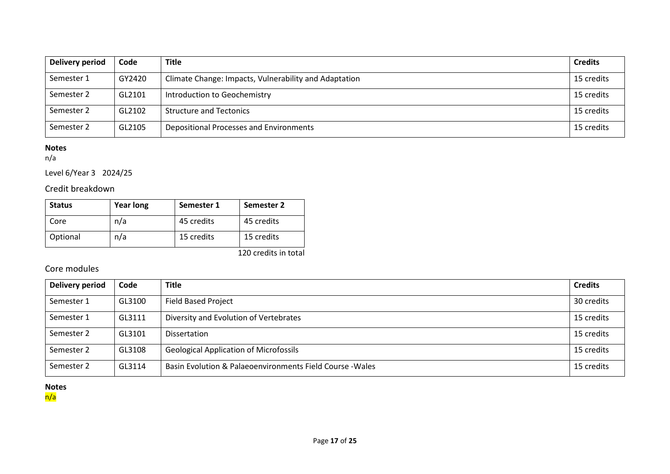| Delivery period | Code   | <b>Title</b>                                          | <b>Credits</b> |
|-----------------|--------|-------------------------------------------------------|----------------|
| Semester 1      | GY2420 | Climate Change: Impacts, Vulnerability and Adaptation | 15 credits     |
| Semester 2      | GL2101 | Introduction to Geochemistry                          | 15 credits     |
| Semester 2      | GL2102 | <b>Structure and Tectonics</b>                        | 15 credits     |
| Semester 2      | GL2105 | Depositional Processes and Environments               | 15 credits     |

### **Notes**

n/a

Level 6/Year 3 2024/25

## Credit breakdown

| <b>Status</b> | <b>Year long</b> | Semester 1 | Semester 2 |
|---------------|------------------|------------|------------|
| Core          | n/a              | 45 credits | 45 credits |
| Optional      | n/a              | 15 credits | 15 credits |

120 credits in total

## Core modules

| Delivery period | Code   | <b>Title</b>                                              | <b>Credits</b> |
|-----------------|--------|-----------------------------------------------------------|----------------|
| Semester 1      | GL3100 | <b>Field Based Project</b>                                | 30 credits     |
| Semester 1      | GL3111 | Diversity and Evolution of Vertebrates                    | 15 credits     |
| Semester 2      | GL3101 | <b>Dissertation</b>                                       | 15 credits     |
| Semester 2      | GL3108 | <b>Geological Application of Microfossils</b>             | 15 credits     |
| Semester 2      | GL3114 | Basin Evolution & Palaeoenvironments Field Course - Wales | 15 credits     |

#### **Notes**

n/a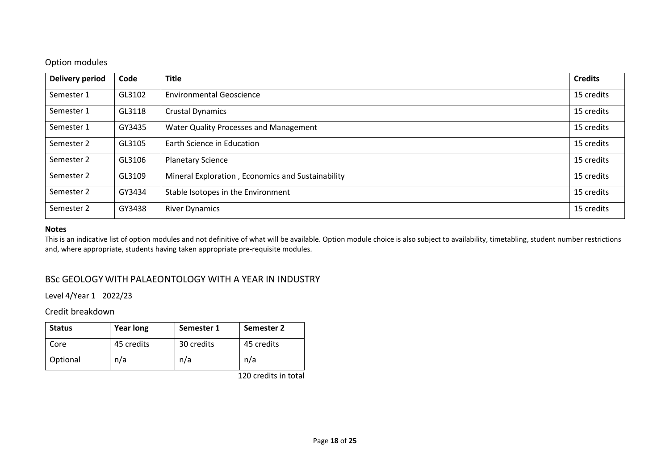### Option modules

| <b>Delivery period</b> | Code   | <b>Title</b>                                      | <b>Credits</b> |
|------------------------|--------|---------------------------------------------------|----------------|
| Semester 1             | GL3102 | <b>Environmental Geoscience</b>                   | 15 credits     |
| Semester 1             | GL3118 | <b>Crustal Dynamics</b>                           | 15 credits     |
| Semester 1             | GY3435 | Water Quality Processes and Management            | 15 credits     |
| Semester 2             | GL3105 | Earth Science in Education                        | 15 credits     |
| Semester 2             | GL3106 | <b>Planetary Science</b>                          | 15 credits     |
| Semester 2             | GL3109 | Mineral Exploration, Economics and Sustainability | 15 credits     |
| Semester 2             | GY3434 | Stable Isotopes in the Environment                | 15 credits     |
| Semester 2             | GY3438 | <b>River Dynamics</b>                             | 15 credits     |

#### **Notes**

This is an indicative list of option modules and not definitive of what will be available. Option module choice is also subject to availability, timetabling, student number restrictions and, where appropriate, students having taken appropriate pre-requisite modules.

### BSc GEOLOGY WITH PALAEONTOLOGY WITH A YEAR IN INDUSTRY

Level 4/Year 1 2022/23

### Credit breakdown

| <b>Status</b> | <b>Year long</b> | Semester 1 | Semester 2 |
|---------------|------------------|------------|------------|
| Core          | 45 credits       | 30 credits | 45 credits |
| Optional      | n/a              | n/a        | n/a        |

120 credits in total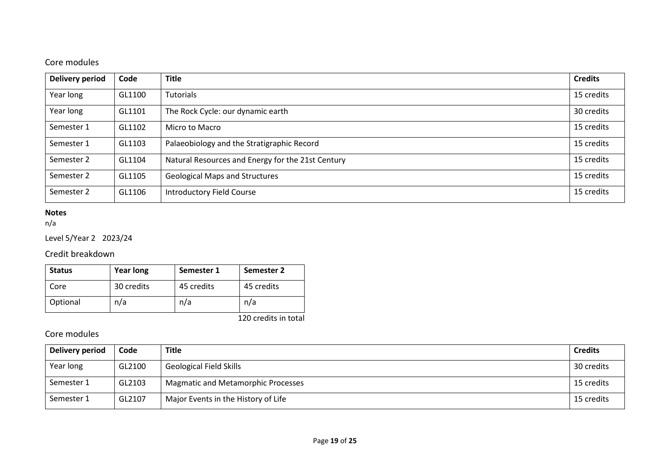## Core modules

| <b>Delivery period</b> | Code   | <b>Title</b>                                      | <b>Credits</b> |
|------------------------|--------|---------------------------------------------------|----------------|
| Year long              | GL1100 | Tutorials                                         | 15 credits     |
| Year long              | GL1101 | The Rock Cycle: our dynamic earth                 | 30 credits     |
| Semester 1             | GL1102 | Micro to Macro                                    | 15 credits     |
| Semester 1             | GL1103 | Palaeobiology and the Stratigraphic Record        | 15 credits     |
| Semester 2             | GL1104 | Natural Resources and Energy for the 21st Century | 15 credits     |
| Semester 2             | GL1105 | <b>Geological Maps and Structures</b>             | 15 credits     |
| Semester 2             | GL1106 | <b>Introductory Field Course</b>                  | 15 credits     |

### **Notes**

n/a

## Level 5/Year 2 2023/24

## Credit breakdown

| <b>Status</b> | <b>Year long</b> | Semester 1 | Semester 2 |
|---------------|------------------|------------|------------|
| Core          | 30 credits       | 45 credits | 45 credits |
| Optional      | n/a              | n/a        | n/a        |

120 credits in total

## Core modules

| Delivery period | Code   | <b>Title</b>                              | <b>Credits</b> |
|-----------------|--------|-------------------------------------------|----------------|
| Year long       | GL2100 | <b>Geological Field Skills</b>            | 30 credits     |
| Semester 1      | GL2103 | <b>Magmatic and Metamorphic Processes</b> | 15 credits     |
| Semester 1      | GL2107 | Major Events in the History of Life       | 15 credits     |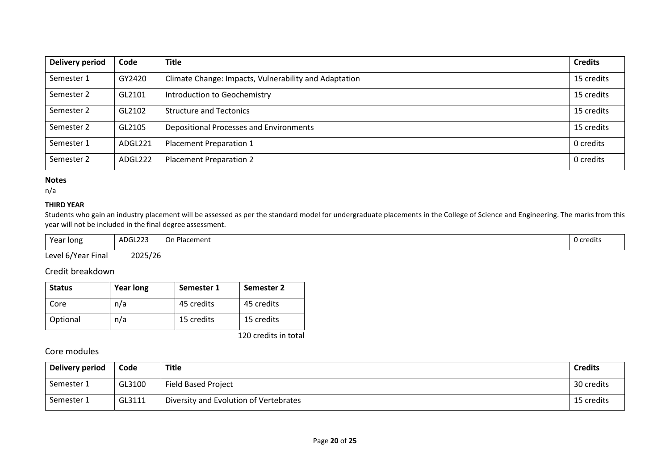| <b>Delivery period</b> | Code    | <b>Title</b>                                          | <b>Credits</b> |
|------------------------|---------|-------------------------------------------------------|----------------|
| Semester 1             | GY2420  | Climate Change: Impacts, Vulnerability and Adaptation | 15 credits     |
| Semester 2             | GL2101  | Introduction to Geochemistry                          | 15 credits     |
| Semester 2             | GL2102  | <b>Structure and Tectonics</b>                        | 15 credits     |
| Semester 2             | GL2105  | Depositional Processes and Environments               | 15 credits     |
| Semester 1             | ADGL221 | Placement Preparation 1                               | 0 credits      |
| Semester 2             | ADGL222 | <b>Placement Preparation 2</b>                        | 0 credits      |

### **Notes**

n/a

### **THIRD YEAR**

Students who gain an industry placement will be assessed as per the standard model for undergraduate placements in the College of Science and Engineering. The marks from this year will not be included in the final degree assessment.

| Year long          | ADGL223 | On Placement | 0 credits |
|--------------------|---------|--------------|-----------|
| Level 6/Year Final | 2025/26 |              |           |

## Credit breakdown

| <b>Status</b> | <b>Year long</b> | Semester 1 | <b>Semester 2</b> |
|---------------|------------------|------------|-------------------|
| Core          | n/a              | 45 credits | 45 credits        |
| Optional      | n/a              | 15 credits | 15 credits        |

120 credits in total

### Core modules

| Delivery period | Code   | Title                                  | <b>Credits</b> |
|-----------------|--------|----------------------------------------|----------------|
| Semester 1      | GL3100 | <b>Field Based Project</b>             | 30 credits     |
| Semester 1      | GL3111 | Diversity and Evolution of Vertebrates | 15 credits     |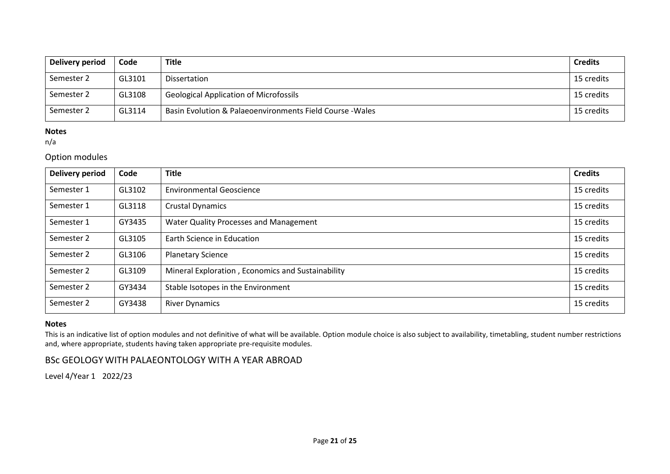| Delivery period | Code   | <b>Title</b>                                              | <b>Credits</b> |
|-----------------|--------|-----------------------------------------------------------|----------------|
| Semester 2      | GL3101 | Dissertation                                              | 15 credits     |
| Semester 2      | GL3108 | <b>Geological Application of Microfossils</b>             | 15 credits     |
| Semester 2      | GL3114 | Basin Evolution & Palaeoenvironments Field Course - Wales | 15 credits     |

### **Notes**

n/a

### Option modules

| <b>Delivery period</b> | Code   | <b>Title</b>                                      | <b>Credits</b> |
|------------------------|--------|---------------------------------------------------|----------------|
| Semester 1             | GL3102 | <b>Environmental Geoscience</b>                   | 15 credits     |
| Semester 1             | GL3118 | <b>Crustal Dynamics</b>                           | 15 credits     |
| Semester 1             | GY3435 | Water Quality Processes and Management            | 15 credits     |
| Semester 2             | GL3105 | Earth Science in Education                        | 15 credits     |
| Semester 2             | GL3106 | <b>Planetary Science</b>                          | 15 credits     |
| Semester 2             | GL3109 | Mineral Exploration, Economics and Sustainability | 15 credits     |
| Semester 2             | GY3434 | Stable Isotopes in the Environment                | 15 credits     |
| Semester 2             | GY3438 | <b>River Dynamics</b>                             | 15 credits     |

### **Notes**

This is an indicative list of option modules and not definitive of what will be available. Option module choice is also subject to availability, timetabling, student number restrictions and, where appropriate, students having taken appropriate pre-requisite modules.

## BSc GEOLOGY WITH PALAEONTOLOGY WITH A YEAR ABROAD

Level 4/Year 1 2022/23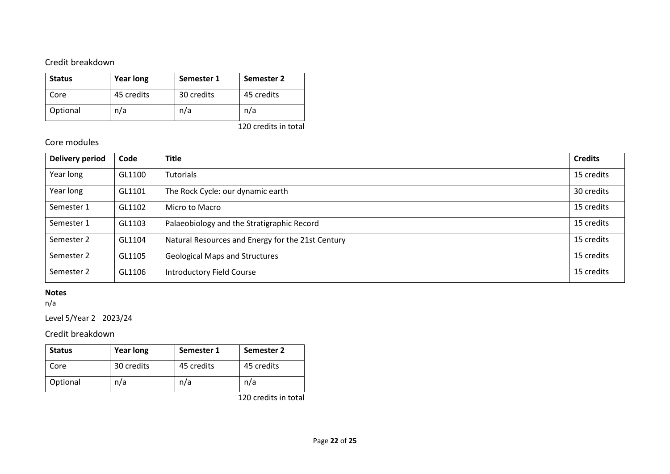## Credit breakdown

| <b>Status</b> | <b>Year long</b> | Semester 1 | Semester 2            |
|---------------|------------------|------------|-----------------------|
| Core          | 45 credits       | 30 credits | 45 credits            |
| Optional      | n/a              | n/a        | n/a                   |
|               |                  |            | $1.20 \times 10^{-1}$ |

#### 120 credits in total

### Core modules

| <b>Delivery period</b> | Code   | <b>Title</b>                                      | <b>Credits</b> |
|------------------------|--------|---------------------------------------------------|----------------|
| Year long              | GL1100 | <b>Tutorials</b>                                  | 15 credits     |
| Year long              | GL1101 | The Rock Cycle: our dynamic earth                 | 30 credits     |
| Semester 1             | GL1102 | Micro to Macro                                    | 15 credits     |
| Semester 1             | GL1103 | Palaeobiology and the Stratigraphic Record        | 15 credits     |
| Semester 2             | GL1104 | Natural Resources and Energy for the 21st Century | 15 credits     |
| Semester 2             | GL1105 | <b>Geological Maps and Structures</b>             | 15 credits     |
| Semester 2             | GL1106 | <b>Introductory Field Course</b>                  | 15 credits     |

### **Notes**

n/a

Level 5/Year 2 2023/24

## Credit breakdown

| <b>Status</b> | <b>Year long</b> | Semester 1 | Semester 2 |
|---------------|------------------|------------|------------|
| Core          | 30 credits       | 45 credits | 45 credits |
| Optional      | n/a              | n/a        | n/a        |

120 credits in total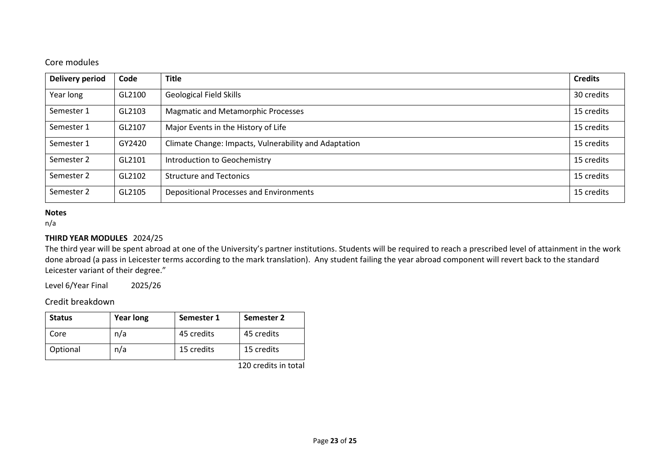### Core modules

| <b>Delivery period</b> | Code   | <b>Title</b>                                          | <b>Credits</b> |
|------------------------|--------|-------------------------------------------------------|----------------|
| Year long              | GL2100 | <b>Geological Field Skills</b>                        | 30 credits     |
| Semester 1             | GL2103 | <b>Magmatic and Metamorphic Processes</b>             | 15 credits     |
| Semester 1             | GL2107 | Major Events in the History of Life                   | 15 credits     |
| Semester 1             | GY2420 | Climate Change: Impacts, Vulnerability and Adaptation | 15 credits     |
| Semester 2             | GL2101 | Introduction to Geochemistry                          | 15 credits     |
| Semester 2             | GL2102 | <b>Structure and Tectonics</b>                        | 15 credits     |
| Semester 2             | GL2105 | Depositional Processes and Environments               | 15 credits     |

#### **Notes**

n/a

### **THIRD YEAR MODULES** 2024/25

The third year will be spent abroad at one of the University's partner institutions. Students will be required to reach a prescribed level of attainment in the work done abroad (a pass in Leicester terms according to the mark translation). Any student failing the year abroad component will revert back to the standard Leicester variant of their degree."

Level 6/Year Final 2025/26

### Credit breakdown

| <b>Status</b> | <b>Year long</b> | Semester 1 | Semester 2 |
|---------------|------------------|------------|------------|
| Core          | n/a              | 45 credits | 45 credits |
| Optional      | n/a              | 15 credits | 15 credits |

120 credits in total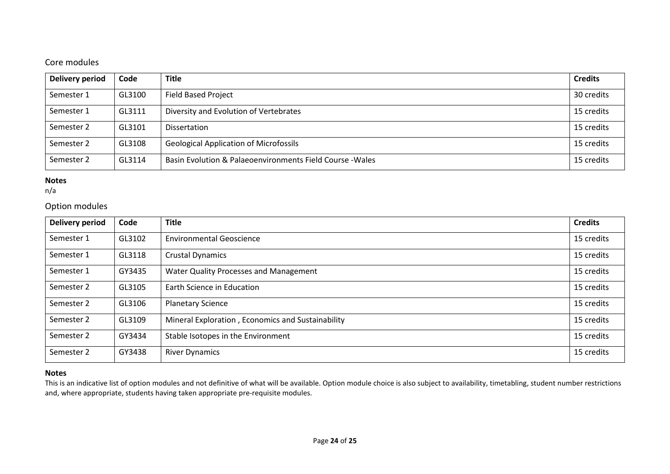## Core modules

| <b>Delivery period</b> | Code   | <b>Title</b>                                              | <b>Credits</b> |
|------------------------|--------|-----------------------------------------------------------|----------------|
| Semester 1             | GL3100 | <b>Field Based Project</b>                                | 30 credits     |
| Semester 1             | GL3111 | Diversity and Evolution of Vertebrates                    | 15 credits     |
| Semester 2             | GL3101 | <b>Dissertation</b>                                       | 15 credits     |
| Semester 2             | GL3108 | <b>Geological Application of Microfossils</b>             | 15 credits     |
| Semester 2             | GL3114 | Basin Evolution & Palaeoenvironments Field Course - Wales | 15 credits     |

### **Notes**

n/a

## Option modules

| <b>Delivery period</b> | Code   | <b>Title</b>                                      | <b>Credits</b> |
|------------------------|--------|---------------------------------------------------|----------------|
| Semester 1             | GL3102 | <b>Environmental Geoscience</b>                   | 15 credits     |
| Semester 1             | GL3118 | <b>Crustal Dynamics</b>                           | 15 credits     |
| Semester 1             | GY3435 | Water Quality Processes and Management            | 15 credits     |
| Semester 2             | GL3105 | Earth Science in Education                        | 15 credits     |
| Semester 2             | GL3106 | <b>Planetary Science</b>                          | 15 credits     |
| Semester 2             | GL3109 | Mineral Exploration, Economics and Sustainability | 15 credits     |
| Semester 2             | GY3434 | Stable Isotopes in the Environment                | 15 credits     |
| Semester 2             | GY3438 | <b>River Dynamics</b>                             | 15 credits     |

### **Notes**

This is an indicative list of option modules and not definitive of what will be available. Option module choice is also subject to availability, timetabling, student number restrictions and, where appropriate, students having taken appropriate pre-requisite modules.